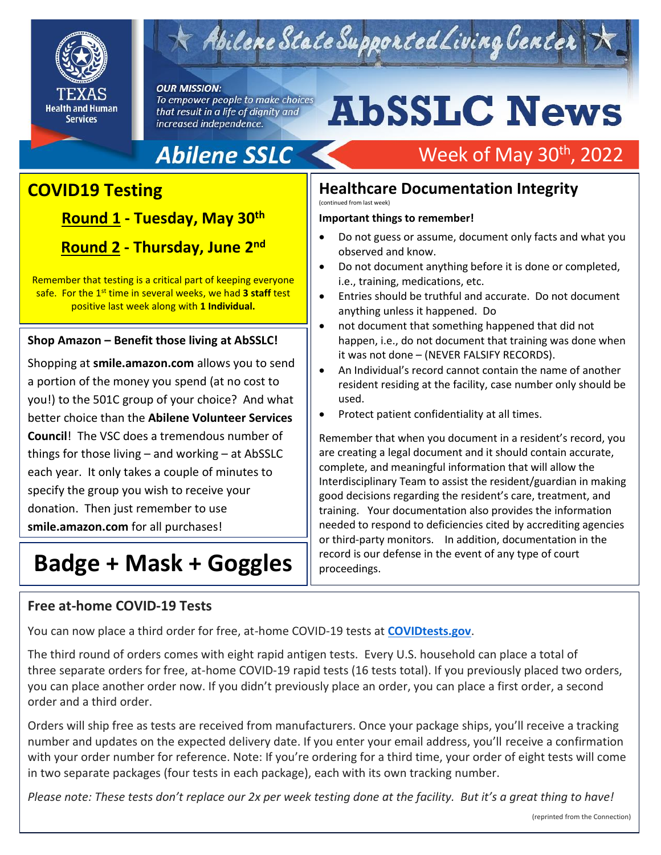

## $\times$  Abilene State Supported Living Center

#### **OUR MISSION:**

To empower people to make choices that result in a life of dignity and increased independence.

# **AbSSLC News**

Week of May 30<sup>th</sup>, 2022

### **Abilene SSLC**

### **COVID19 Testing**

.

**Shout Outs! Round 1 - Tuesday, May 30th Round 2 - Thursday, June 2nd**

Remember that testing is a critical part of keeping everyone safe. For the 1st time in several weeks, we had **3 staff** test positive last week along with **1 Individual.**

#### **Shop Amazon – Benefit those living at AbSSLC!**

Shopping at **smile.amazon.com** allows you to send a portion of the money you spend (at no cost to you!) to the 501C group of your choice? And what better choice than the **Abilene Volunteer Services Council**! The VSC does a tremendous number of things for those living – and working – at AbSSLC each year. It only takes a couple of minutes to specify the group you wish to receive your donation. Then just remember to use **smile.amazon.com** for all purchases!

### **Badge + Mask + Goggles**

#### **Free at-home COVID-19 Tests**

**Healthcare Documentation Integrity**  (continued from last week)

#### **Important things to remember!**

- Do not guess or assume, document only facts and what you observed and know.
- Do not document anything before it is done or completed, i.e., training, medications, etc.
- Entries should be truthful and accurate. Do not document anything unless it happened. Do
- not document that something happened that did not happen, i.e., do not document that training was done when it was not done – (NEVER FALSIFY RECORDS).
- An Individual's record cannot contain the name of another resident residing at the facility, case number only should be used.
- Protect patient confidentiality at all times.

2019 Remember that when you document in a resident's record, you are creating a legal document and it should contain accurate, complete, and meaningful information that will allow the Interdisciplinary Team to assist the resident/guardian in making good decisions regarding the resident's care, treatment, and training. Your documentation also provides the information needed to respond to deficiencies cited by accrediting agencies or third-party monitors. In addition, documentation in the record is our defense in the event of any type of court proceedings.

You can now place a third order for free, at-home COVID-19 tests at **[COVIDtests.gov](https://www.covidtests.gov/)**.

The third round of orders comes with eight rapid antigen tests. Every U.S. household can place a total of three separate orders for free, at-home COVID-19 rapid tests (16 tests total). If you previously placed two orders, you can place another order now. If you didn't previously place an order, you can place a first order, a second order and a third order.

Orders will ship free as tests are received from manufacturers. Once your package ships, you'll receive a tracking number and updates on the expected delivery date. If you enter your email address, you'll receive a confirmation with your order number for reference. Note: If you're ordering for a third time, your order of eight tests will come in two separate packages (four tests in each package), each with its own tracking number.

*Please note: These tests don't replace our 2x per week testing done at the facility. But it's a great thing to have!*

<sup>(</sup>reprinted from the Connection)